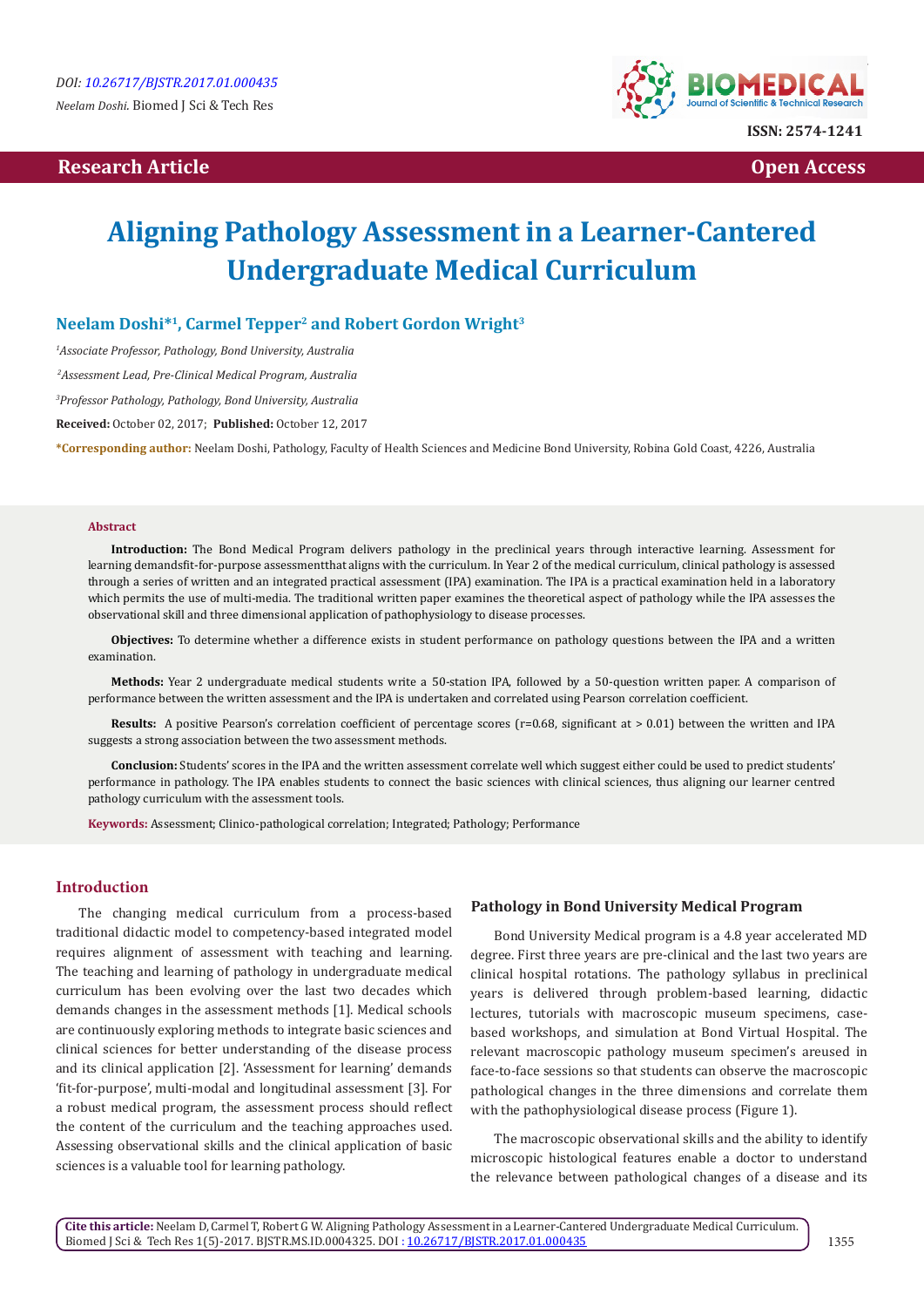# **Research Article Community Community Community Community Community Community Community Community Community Community Community Community Community Community Community Community Community Community Community Community Com**



# **Aligning Pathology Assessment in a Learner-Cantered Undergraduate Medical Curriculum**

# **Neelam Doshi\*1, Carmel Tepper2 and Robert Gordon Wright3**

*1 Associate Professor, Pathology, Bond University, Australia*

 *2Assessment Lead, Pre-Clinical Medical Program, Australia*

*3 Professor Pathology, Pathology, Bond University, Australia*

**Received:** October 02, 2017; **Published:** October 12, 2017

**\*Corresponding author:** Neelam Doshi, Pathology, Faculty of Health Sciences and Medicine Bond University, Robina Gold Coast, 4226, Australia

#### **Abstract**

**Introduction:** The Bond Medical Program delivers pathology in the preclinical years through interactive learning. Assessment for learning demandsfit-for-purpose assessmentthat aligns with the curriculum. In Year 2 of the medical curriculum, clinical pathology is assessed through a series of written and an integrated practical assessment (IPA) examination. The IPA is a practical examination held in a laboratory which permits the use of multi-media. The traditional written paper examines the theoretical aspect of pathology while the IPA assesses the observational skill and three dimensional application of pathophysiology to disease processes.

**Objectives:** To determine whether a difference exists in student performance on pathology questions between the IPA and a written examination.

**Methods:** Year 2 undergraduate medical students write a 50-station IPA, followed by a 50-question written paper. A comparison of performance between the written assessment and the IPA is undertaken and correlated using Pearson correlation coefficient.

**Results:** A positive Pearson's correlation coefficient of percentage scores (r=0.68, significant at > 0.01) between the written and IPA suggests a strong association between the two assessment methods.

**Conclusion:** Students' scores in the IPA and the written assessment correlate well which suggest either could be used to predict students' performance in pathology. The IPA enables students to connect the basic sciences with clinical sciences, thus aligning our learner centred pathology curriculum with the assessment tools.

**Keywords:** Assessment; Clinico-pathological correlation; Integrated; Pathology; Performance

#### **Introduction**

The changing medical curriculum from a process-based traditional didactic model to competency-based integrated model requires alignment of assessment with teaching and learning. The teaching and learning of pathology in undergraduate medical curriculum has been evolving over the last two decades which demands changes in the assessment methods [1]. Medical schools are continuously exploring methods to integrate basic sciences and clinical sciences for better understanding of the disease process and its clinical application [2]. 'Assessment for learning' demands 'fit-for-purpose', multi-modal and longitudinal assessment [3]. For a robust medical program, the assessment process should reflect the content of the curriculum and the teaching approaches used. Assessing observational skills and the clinical application of basic sciences is a valuable tool for learning pathology.

#### **Pathology in Bond University Medical Program**

Bond University Medical program is a 4.8 year accelerated MD degree. First three years are pre-clinical and the last two years are clinical hospital rotations. The pathology syllabus in preclinical years is delivered through problem-based learning, didactic lectures, tutorials with macroscopic museum specimens, casebased workshops, and simulation at Bond Virtual Hospital. The relevant macroscopic pathology museum specimen's areused in face-to-face sessions so that students can observe the macroscopic pathological changes in the three dimensions and correlate them with the pathophysiological disease process (Figure 1).

The macroscopic observational skills and the ability to identify microscopic histological features enable a doctor to understand the relevance between pathological changes of a disease and its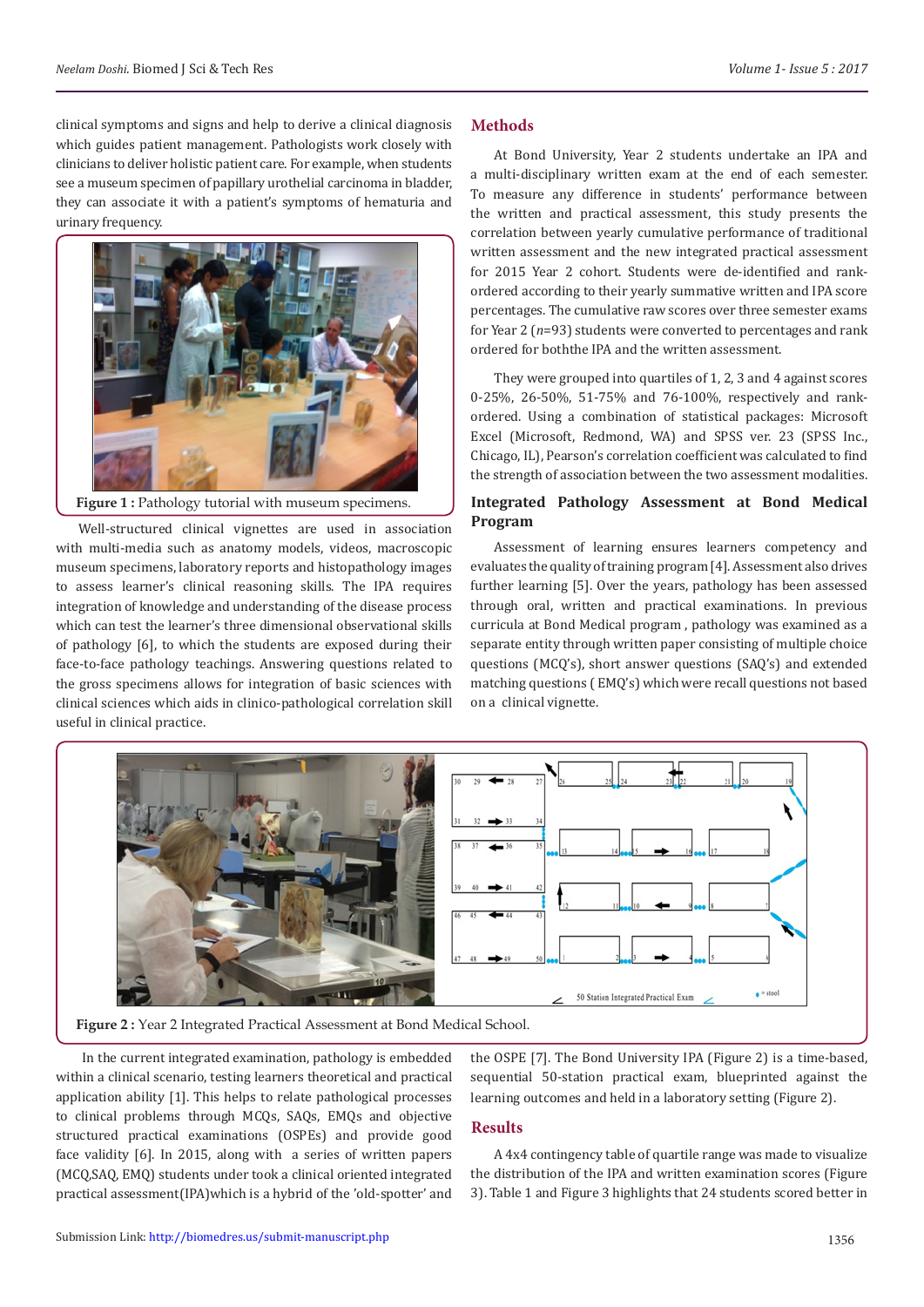clinical symptoms and signs and help to derive a clinical diagnosis which guides patient management. Pathologists work closely with clinicians to deliver holistic patient care. For example, when students see a museum specimen of papillary urothelial carcinoma in bladder, they can associate it with a patient's symptoms of hematuria and urinary frequency.



Figure 1 : Pathology tutorial with museum specimens.

Well-structured clinical vignettes are used in association with multi-media such as anatomy models, videos, macroscopic museum specimens, laboratory reports and histopathology images to assess learner's clinical reasoning skills. The IPA requires integration of knowledge and understanding of the disease process which can test the learner's three dimensional observational skills of pathology [6], to which the students are exposed during their face-to-face pathology teachings. Answering questions related to the gross specimens allows for integration of basic sciences with clinical sciences which aids in clinico-pathological correlation skill useful in clinical practice.

#### **Methods**

At Bond University, Year 2 students undertake an IPA and a multi-disciplinary written exam at the end of each semester. To measure any difference in students' performance between the written and practical assessment, this study presents the correlation between yearly cumulative performance of traditional written assessment and the new integrated practical assessment for 2015 Year 2 cohort. Students were de-identified and rankordered according to their yearly summative written and IPA score percentages. The cumulative raw scores over three semester exams for Year 2 (*n*=93) students were converted to percentages and rank ordered for boththe IPA and the written assessment.

They were grouped into quartiles of 1, 2, 3 and 4 against scores 0-25%, 26-50%, 51-75% and 76-100%, respectively and rankordered. Using a combination of statistical packages: Microsoft Excel (Microsoft, Redmond, WA) and SPSS ver. 23 (SPSS Inc., Chicago, IL), Pearson's correlation coefficient was calculated to find the strength of association between the two assessment modalities.

# **Integrated Pathology Assessment at Bond Medical Program**

Assessment of learning ensures learners competency and evaluates the quality of training program [4]. Assessment also drives further learning [5]. Over the years, pathology has been assessed through oral, written and practical examinations. In previous curricula at Bond Medical program , pathology was examined as a separate entity through written paper consisting of multiple choice questions (MCQ's), short answer questions (SAQ's) and extended matching questions ( EMQ's) which were recall questions not based on a clinical vignette.



**Figure 2 :** Year 2 Integrated Practical Assessment at Bond Medical School.

 In the current integrated examination, pathology is embedded within a clinical scenario, testing learners theoretical and practical application ability [1]. This helps to relate pathological processes to clinical problems through MCQs, SAQs, EMQs and objective structured practical examinations (OSPEs) and provide good face validity [6]. In 2015, along with a series of written papers (MCQ,SAQ, EMQ) students under took a clinical oriented integrated practical assessment(IPA)which is a hybrid of the 'old-spotter' and the OSPE [7]. The Bond University IPA (Figure 2) is a time-based, sequential 50-station practical exam, blueprinted against the learning outcomes and held in a laboratory setting (Figure 2).

#### **Results**

A 4x4 contingency table of quartile range was made to visualize the distribution of the IPA and written examination scores (Figure 3). Table 1 and Figure 3 highlights that 24 students scored better in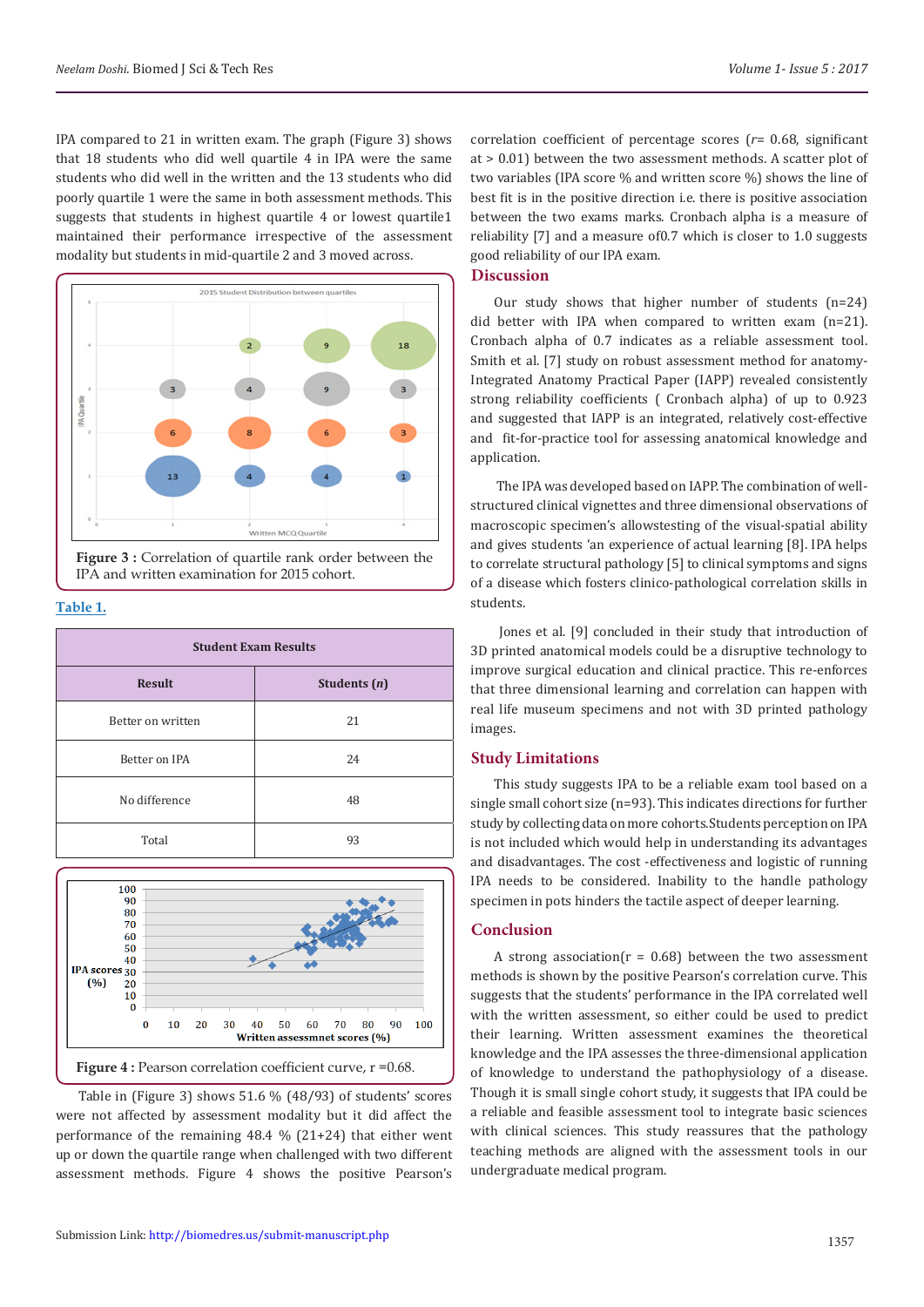IPA compared to 21 in written exam. The graph (Figure 3) shows that 18 students who did well quartile 4 in IPA were the same students who did well in the written and the 13 students who did poorly quartile 1 were the same in both assessment methods. This suggests that students in highest quartile 4 or lowest quartile1 maintained their performance irrespective of the assessment modality but students in mid-quartile 2 and 3 moved across.



**Figure 3 :** Correlation of quartile rank order between the IPA and written examination for 2015 cohort.

#### **Table 1.**

| <b>Student Exam Results</b> |                |
|-----------------------------|----------------|
| <b>Result</b>               | Students $(n)$ |
| Better on written           | 21             |
| Better on IPA               | 24             |
| No difference               | 48             |
| Total                       | 93             |



Table in (Figure 3) shows 51.6 % (48/93) of students' scores were not affected by assessment modality but it did affect the performance of the remaining 48.4 % (21+24) that either went up or down the quartile range when challenged with two different assessment methods. Figure 4 shows the positive Pearson's

correlation coefficient of percentage scores (*r*= 0.68, significant at > 0.01) between the two assessment methods. A scatter plot of two variables (IPA score % and written score %) shows the line of best fit is in the positive direction i.e. there is positive association between the two exams marks. Cronbach alpha is a measure of reliability [7] and a measure of0.7 which is closer to 1.0 suggests good reliability of our IPA exam.

## **Discussion**

Our study shows that higher number of students (n=24) did better with IPA when compared to written exam (n=21). Cronbach alpha of 0.7 indicates as a reliable assessment tool. Smith et al. [7] study on robust assessment method for anatomy-Integrated Anatomy Practical Paper (IAPP) revealed consistently strong reliability coefficients ( Cronbach alpha) of up to 0.923 and suggested that IAPP is an integrated, relatively cost-effective and fit-for-practice tool for assessing anatomical knowledge and application.

 The IPA was developed based on IAPP. The combination of wellstructured clinical vignettes and three dimensional observations of macroscopic specimen's allowstesting of the visual-spatial ability and gives students 'an experience of actual learning [8]. IPA helps to correlate structural pathology [5] to clinical symptoms and signs of a disease which fosters clinico-pathological correlation skills in students.

 Jones et al. [9] concluded in their study that introduction of 3D printed anatomical models could be a disruptive technology to improve surgical education and clinical practice. This re-enforces that three dimensional learning and correlation can happen with real life museum specimens and not with 3D printed pathology images.

# **Study Limitations**

This study suggests IPA to be a reliable exam tool based on a single small cohort size (n=93). This indicates directions for further study by collecting data on more cohorts.Students perception on IPA is not included which would help in understanding its advantages and disadvantages. The cost -effectiveness and logistic of running IPA needs to be considered. Inability to the handle pathology specimen in pots hinders the tactile aspect of deeper learning.

#### **Conclusion**

A strong association( $r = 0.68$ ) between the two assessment methods is shown by the positive Pearson's correlation curve. This suggests that the students' performance in the IPA correlated well with the written assessment, so either could be used to predict their learning. Written assessment examines the theoretical knowledge and the IPA assesses the three-dimensional application of knowledge to understand the pathophysiology of a disease. Though it is small single cohort study, it suggests that IPA could be a reliable and feasible assessment tool to integrate basic sciences with clinical sciences. This study reassures that the pathology teaching methods are aligned with the assessment tools in our undergraduate medical program.